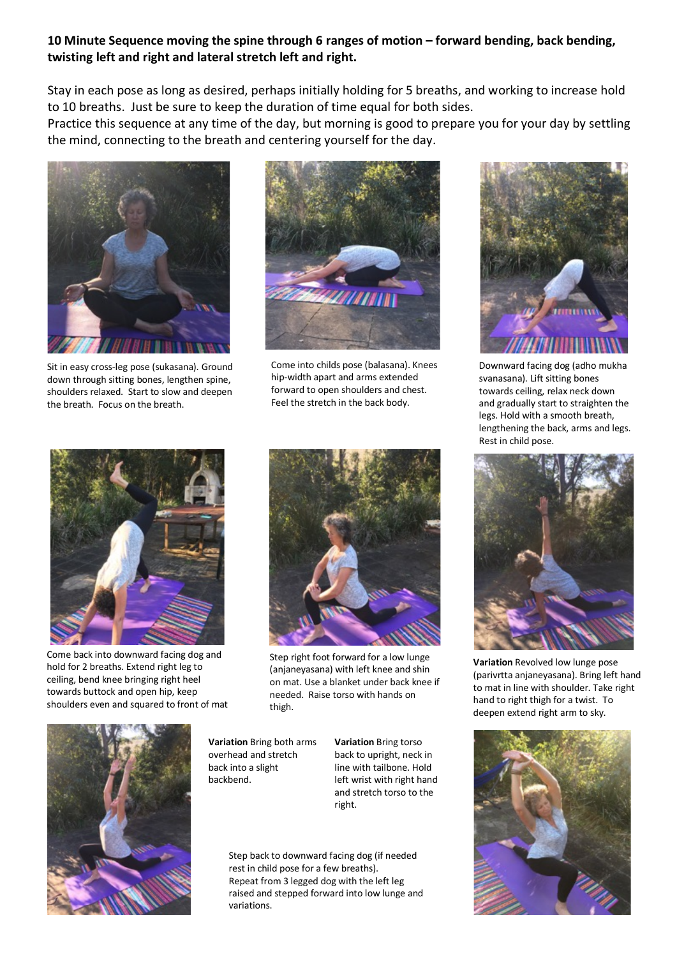## **10 Minute Sequence moving the spine through 6 ranges of motion – forward bending, back bending, twisting left and right and lateral stretch left and right.**

Stay in each pose as long as desired, perhaps initially holding for 5 breaths, and working to increase hold to 10 breaths. Just be sure to keep the duration of time equal for both sides.

Practice this sequence at any time of the day, but morning is good to prepare you for your day by settling the mind, connecting to the breath and centering yourself for the day.



Sit in easy cross-leg pose (sukasana). Ground down through sitting bones, lengthen spine, shoulders relaxed. Start to slow and deepen the breath. Focus on the breath.



Come into childs pose (balasana). Knees hip-width apart and arms extended forward to open shoulders and chest. Feel the stretch in the back body.



Downward facing dog (adho mukha svanasana). Lift sitting bones towards ceiling, relax neck down and gradually start to straighten the legs. Hold with a smooth breath, lengthening the back, arms and legs. Rest in child pose.



Come back into downward facing dog and hold for 2 breaths. Extend right leg to ceiling, bend knee bringing right heel towards buttock and open hip, keep shoulders even and squared to front of mat



Step right foot forward for a low lunge (anjaneyasana) with left knee and shin on mat. Use a blanket under back knee if needed. Raise torso with hands on thigh.



**Variation** Bring both arms overhead and stretch back into a slight backbend.

**Variation** Bring torso back to upright, neck in line with tailbone. Hold left wrist with right hand and stretch torso to the right.

Step back to downward facing dog (if needed rest in child pose for a few breaths). Repeat from 3 legged dog with the left leg raised and stepped forward into low lunge and variations.



**Variation** Revolved low lunge pose (parivrtta anjaneyasana). Bring left hand to mat in line with shoulder. Take right hand to right thigh for a twist. To deepen extend right arm to sky.